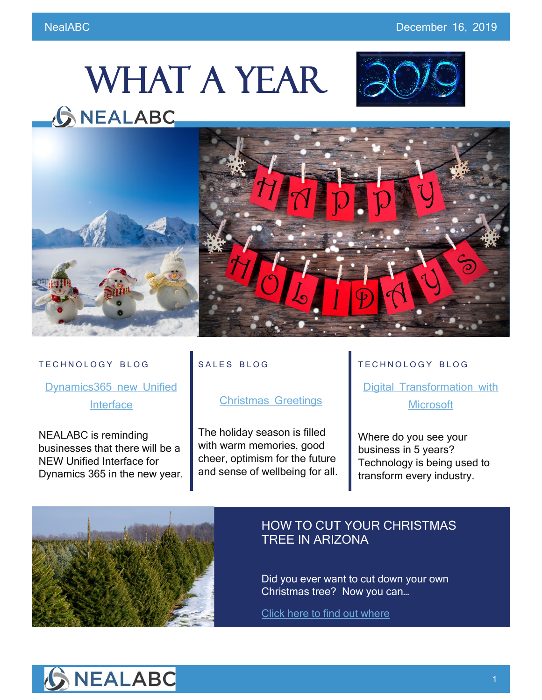# WHAT A YEAR





#### TECHNOLOGY BLOG

[Dynamics365](https://www.nealabc.com/new-unified-interface-for-dynamics365/) new Unified **[Interface](https://www.nealabc.com/new-unified-interface-for-dynamics365/)** 

NEALABC is reminding businesses that there will be a NEW Unified Interface for Dynamics 365 in the new year.

## SALES BLOG

### [Christmas Greetings](https://www.nealabc.com/christmas-greetings/)

The holiday season is filled with warm memories, good cheer, optimism for the future and sense of wellbeing for all.

#### TECHNOLOGY BLOG

[Digital Transformation with](https://www.nealabc.com/digital-transformation-with-microsoft/?utm_source=rss&utm_medium=rss&utm_campaign=digital-transformation-with-microsoft)  **[Microsoft](https://www.nealabc.com/digital-transformation-with-microsoft/?utm_source=rss&utm_medium=rss&utm_campaign=digital-transformation-with-microsoft)** 

Where do you see your business in 5 years? Technology is being used to transform every industry.



## HOW TO CUT YOUR CHRISTMAS TREE IN ARIZONA

Did you ever want to cut down your own Christmas tree? Now you can…

[Click here to find out where](https://www.tripsavvy.com/cut-arizona-christmas-tree-2677322)